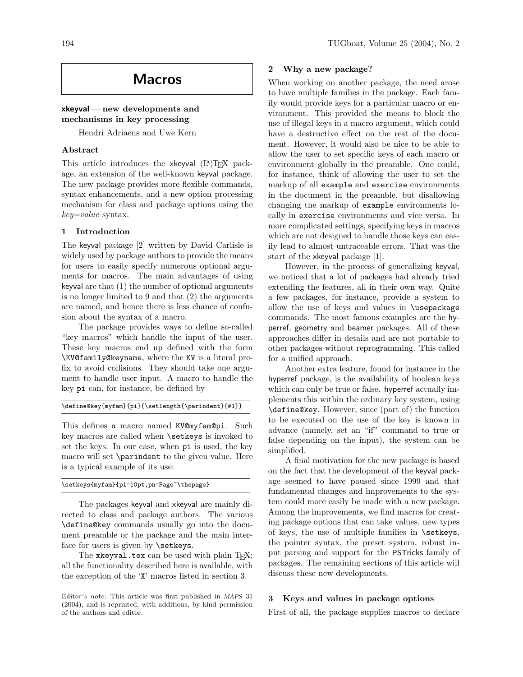# Macros

## xkeyval— new developments and mechanisms in key processing

Hendri Adriaens and Uwe Kern

## Abstract

This article introduces the xkeyval  $(A)$ T<sub>F</sub>X package, an extension of the well-known keyval package. The new package provides more flexible commands, syntax enhancements, and a new option processing mechanism for class and package options using the  $key = value$  syntax.

#### 1 Introduction

The keyval package [2] written by David Carlisle is widely used by package authors to provide the means for users to easily specify numerous optional arguments for macros. The main advantages of using keyval are that (1) the number of optional arguments is no longer limited to 9 and that (2) the arguments are named, and hence there is less chance of confusion about the syntax of a macro.

The package provides ways to define so-called "key macros" which handle the input of the user. These key macros end up defined with the form \KV@family@keyname, where the KV is a literal prefix to avoid collisions. They should take one argument to handle user input. A macro to handle the key pi can, for instance, be defined by

```
\define@key{myfam}{pi}{\setlength{\parindent}{#1}}
```
This defines a macro named KV@myfam@pi. Such key macros are called when \setkeys is invoked to set the keys. In our case, when pi is used, the key macro will set \parindent to the given value. Here is a typical example of its use:

#### \setkeys{myfam}{pi=10pt,pn=Page~\thepage}

The packages keyval and xkeyval are mainly directed to class and package authors. The various \define@key commands usually go into the document preamble or the package and the main interface for users is given by \setkeys.

The xkeyval.tex can be used with plain TFX; all the functionality described here is available, with the exception of the 'X' macros listed in section 3.

## 2 Why a new package?

When working on another package, the need arose to have multiple families in the package. Each family would provide keys for a particular macro or environment. This provided the means to block the use of illegal keys in a macro argument, which could have a destructive effect on the rest of the document. However, it would also be nice to be able to allow the user to set specific keys of each macro or environment globally in the preamble. One could, for instance, think of allowing the user to set the markup of all example and exercise environments in the document in the preamble, but disallowing changing the markup of example environments locally in exercise environments and vice versa. In more complicated settings, specifying keys in macros which are not designed to handle those keys can easily lead to almost untraceable errors. That was the start of the xkeyval package [1].

However, in the process of generalizing keyval, we noticed that a lot of packages had already tried extending the features, all in their own way. Quite a few packages, for instance, provide a system to allow the use of keys and values in \usepackage commands. The most famous examples are the hyperref, geometry and beamer packages. All of these approaches differ in details and are not portable to other packages without reprogramming. This called for a unified approach.

Another extra feature, found for instance in the hyperref package, is the availability of boolean keys which can only be true or false. hyperref actually implements this within the ordinary key system, using \define@key. However, since (part of) the function to be executed on the use of the key is known in advance (namely, set an "if" command to true or false depending on the input), the system can be simplified.

A final motivation for the new package is based on the fact that the development of the keyval package seemed to have paused since 1999 and that fundamental changes and improvements to the system could more easily be made with a new package. Among the improvements, we find macros for creating package options that can take values, new types of keys, the use of multiple families in \setkeys, the pointer syntax, the preset system, robust input parsing and support for the PSTricks family of packages. The remaining sections of this article will discuss these new developments.

#### 3 Keys and values in package options

First of all, the package supplies macros to declare

Editor's note: This article was first published in MAPS 31 (2004), and is reprinted, with additions, by kind permission of the authors and editor.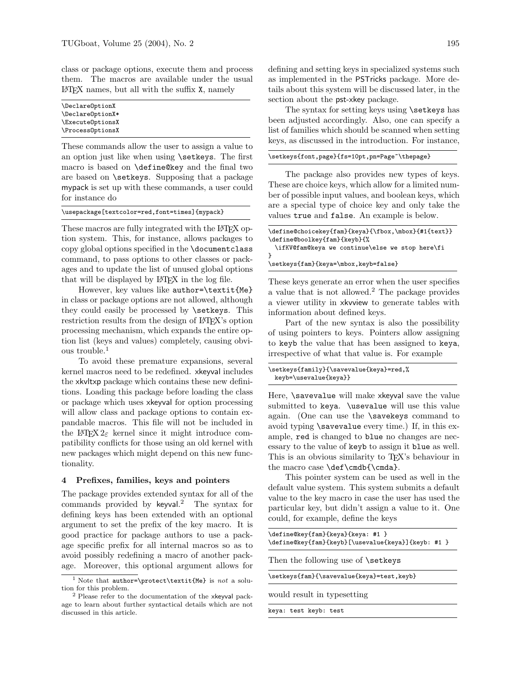class or package options, execute them and process them. The macros are available under the usual LATEX names, but all with the suffix X, namely

\DeclareOptionX \DeclareOptionX\* \ExecuteOptionsX \ProcessOptionsX

These commands allow the user to assign a value to an option just like when using \setkeys. The first macro is based on \define@key and the final two are based on \setkeys. Supposing that a package mypack is set up with these commands, a user could for instance do

\usepackage[textcolor=red,font=times]{mypack}

These macros are fully integrated with the LATEX option system. This, for instance, allows packages to copy global options specified in the \documentclass command, to pass options to other classes or packages and to update the list of unused global options that will be displayed by L<sup>AT</sup>EX in the log file.

However, key values like author=\textit{Me} in class or package options are not allowed, although they could easily be processed by \setkeys. This restriction results from the design of LAT<sub>EX</sub>'s option processing mechanism, which expands the entire option list (keys and values) completely, causing obvious trouble.<sup>1</sup>

To avoid these premature expansions, several kernel macros need to be redefined. xkeyval includes the xkvltxp package which contains these new definitions. Loading this package before loading the class or package which uses xkeyval for option processing will allow class and package options to contain expandable macros. This file will not be included in the L<sup>AT</sup>FX  $2\varepsilon$  kernel since it might introduce compatibility conflicts for those using an old kernel with new packages which might depend on this new functionality.

#### 4 Prefixes, families, keys and pointers

The package provides extended syntax for all of the commands provided by keyval. <sup>2</sup> The syntax for defining keys has been extended with an optional argument to set the prefix of the key macro. It is good practice for package authors to use a package specific prefix for all internal macros so as to avoid possibly redefining a macro of another package. Moreover, this optional argument allows for

defining and setting keys in specialized systems such as implemented in the PSTricks package. More details about this system will be discussed later, in the section about the **pst-xkey** package.

The syntax for setting keys using **\setkeys** has been adjusted accordingly. Also, one can specify a list of families which should be scanned when setting keys, as discussed in the introduction. For instance,

#### \setkeys{font,page}{fs=10pt,pn=Page~\thepage}

The package also provides new types of keys. These are choice keys, which allow for a limited number of possible input values, and boolean keys, which are a special type of choice key and only take the values true and false. An example is below.

| \define@choicekey{fam}{keya}{\fbox,\mbox}{#1{text}} |
|-----------------------------------------------------|
| \define@boolkey{fam}{keyb}{%                        |
| \ifKV@fam@keya we continue\else we stop here\fi     |
|                                                     |
| \setkeys{fam}{keya=\mbox,keyb=false}                |

These keys generate an error when the user specifies a value that is not allowed.<sup>2</sup> The package provides a viewer utility in xkvview to generate tables with information about defined keys.

Part of the new syntax is also the possibility of using pointers to keys. Pointers allow assigning to keyb the value that has been assigned to keya, irrespective of what that value is. For example

```
\setkeys{family}{\savevalue{keya}=red,%
 keyb=\usevalue{keya}}
```
Here, \savevalue will make xkeyval save the value submitted to keya. \usevalue will use this value again. (One can use the \savekeys command to avoid typing \savevalue every time.) If, in this example, red is changed to blue no changes are necessary to the value of keyb to assign it blue as well. This is an obvious similarity to TEX's behaviour in the macro case \def\cmdb{\cmda}.

This pointer system can be used as well in the default value system. This system submits a default value to the key macro in case the user has used the particular key, but didn't assign a value to it. One could, for example, define the keys

| \define@key{fam}{keya}{keya: #1 }<br>\define@key{fam}{keyb}[\usevalue{keya}]{keyb: #1 } |  |  |  |  |
|-----------------------------------------------------------------------------------------|--|--|--|--|
| Then the following use of <b>\setkeys</b>                                               |  |  |  |  |
| \setkeys{fam}{\savevalue{keya}=test,keyb}                                               |  |  |  |  |
| would result in type setting                                                            |  |  |  |  |
| keya: test keyb: test                                                                   |  |  |  |  |

<sup>&</sup>lt;sup>1</sup> Note that author=\protect\textit{Me} is not a solution for this problem.

<sup>2</sup> Please refer to the documentation of the xkeyval package to learn about further syntactical details which are not discussed in this article.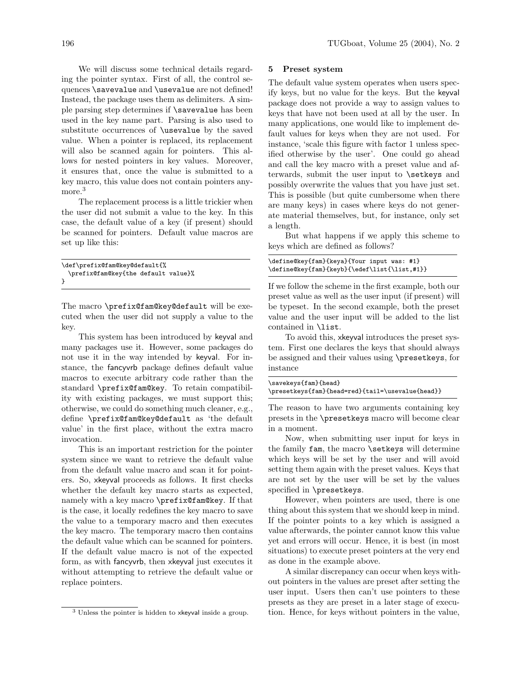We will discuss some technical details regarding the pointer syntax. First of all, the control sequences \savevalue and \usevalue are not defined! Instead, the package uses them as delimiters. A simple parsing step determines if \savevalue has been used in the key name part. Parsing is also used to substitute occurrences of \usevalue by the saved value. When a pointer is replaced, its replacement will also be scanned again for pointers. This allows for nested pointers in key values. Moreover, it ensures that, once the value is submitted to a key macro, this value does not contain pointers anymore.<sup>3</sup>

The replacement process is a little trickier when the user did not submit a value to the key. In this case, the default value of a key (if present) should be scanned for pointers. Default value macros are set up like this:

| \def\prefix@fam@key@default{%       |  |  |  |  |  |  |
|-------------------------------------|--|--|--|--|--|--|
| \prefix@fam@key{the default value}% |  |  |  |  |  |  |
|                                     |  |  |  |  |  |  |

The macro \prefix@fam@key@default will be executed when the user did not supply a value to the key.

This system has been introduced by keyval and many packages use it. However, some packages do not use it in the way intended by keyval. For instance, the fancyvrb package defines default value macros to execute arbitrary code rather than the standard \prefix@fam@key. To retain compatibility with existing packages, we must support this; otherwise, we could do something much cleaner, e.g., define \prefix@fam@key@default as 'the default value' in the first place, without the extra macro invocation.

This is an important restriction for the pointer system since we want to retrieve the default value from the default value macro and scan it for pointers. So, xkeyval proceeds as follows. It first checks whether the default key macro starts as expected, namely with a key macro \prefix@fam@key. If that is the case, it locally redefines the key macro to save the value to a temporary macro and then executes the key macro. The temporary macro then contains the default value which can be scanned for pointers. If the default value macro is not of the expected form, as with fancyvrb, then xkeyval just executes it without attempting to retrieve the default value or replace pointers.

#### 5 Preset system

The default value system operates when users specify keys, but no value for the keys. But the keyval package does not provide a way to assign values to keys that have not been used at all by the user. In many applications, one would like to implement default values for keys when they are not used. For instance, 'scale this figure with factor 1 unless specified otherwise by the user'. One could go ahead and call the key macro with a preset value and afterwards, submit the user input to \setkeys and possibly overwrite the values that you have just set. This is possible (but quite cumbersome when there are many keys) in cases where keys do not generate material themselves, but, for instance, only set a length.

But what happens if we apply this scheme to keys which are defined as follows?

| \define@key{fam}{keya}{Your input was: #1}   |  |
|----------------------------------------------|--|
| \define@key{fam}{keyb}{\edef\list{\list,#1}} |  |

If we follow the scheme in the first example, both our preset value as well as the user input (if present) will be typeset. In the second example, both the preset value and the user input will be added to the list contained in \list.

To avoid this, xkeyval introduces the preset system. First one declares the keys that should always be assigned and their values using \presetkeys, for instance

| \savekeys{fam}{head}                             |
|--------------------------------------------------|
| \presetkeys{fam}{head=red}{tail=\usevalue{head}} |

The reason to have two arguments containing key presets in the \presetkeys macro will become clear in a moment.

Now, when submitting user input for keys in the family fam, the macro \setkeys will determine which keys will be set by the user and will avoid setting them again with the preset values. Keys that are not set by the user will be set by the values specified in \presetkeys.

However, when pointers are used, there is one thing about this system that we should keep in mind. If the pointer points to a key which is assigned a value afterwards, the pointer cannot know this value yet and errors will occur. Hence, it is best (in most situations) to execute preset pointers at the very end as done in the example above.

A similar discrepancy can occur when keys without pointers in the values are preset after setting the user input. Users then can't use pointers to these presets as they are preset in a later stage of execution. Hence, for keys without pointers in the value,

<sup>3</sup> Unless the pointer is hidden to xkeyval inside a group.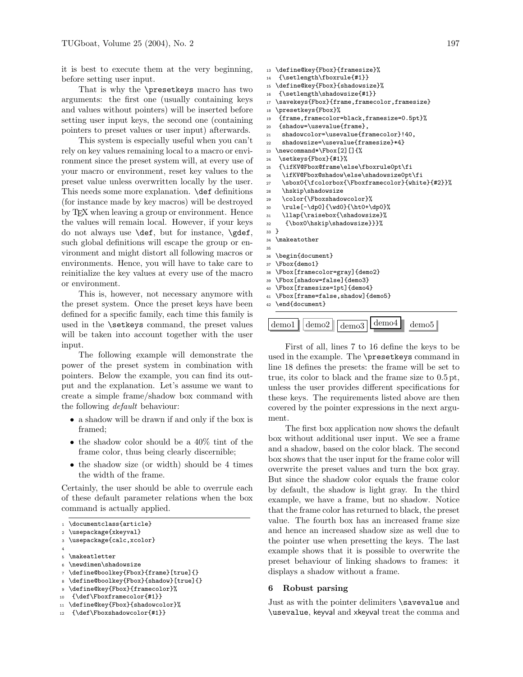it is best to execute them at the very beginning, before setting user input.

That is why the \presetkeys macro has two arguments: the first one (usually containing keys and values without pointers) will be inserted before setting user input keys, the second one (containing pointers to preset values or user input) afterwards.

This system is especially useful when you can't rely on key values remaining local to a macro or environment since the preset system will, at every use of your macro or environment, reset key values to the preset value unless overwritten locally by the user. This needs some more explanation. **\def** definitions (for instance made by key macros) will be destroyed by TEX when leaving a group or environment. Hence the values will remain local. However, if your keys do not always use \def, but for instance, \gdef, such global definitions will escape the group or environment and might distort all following macros or environments. Hence, you will have to take care to reinitialize the key values at every use of the macro or environment.

This is, however, not necessary anymore with the preset system. Once the preset keys have been defined for a specific family, each time this family is used in the \setkeys command, the preset values will be taken into account together with the user input.

The following example will demonstrate the power of the preset system in combination with pointers. Below the example, you can find its output and the explanation. Let's assume we want to create a simple frame/shadow box command with the following default behaviour:

- a shadow will be drawn if and only if the box is framed;
- the shadow color should be a 40% tint of the frame color, thus being clearly discernible;
- the shadow size (or width) should be 4 times the width of the frame.

Certainly, the user should be able to overrule each of these default parameter relations when the box command is actually applied.

<sup>2</sup> \usepackage{xkeyval}

```
3 \usepackage{calc,xcolor}
```

```
4
5 \makeatletter
```

```
6 \newdimen\shadowsize
```
- <sup>7</sup> \define@boolkey{Fbox}{frame}[true]{}
- <sup>8</sup> \define@boolkey{Fbox}{shadow}[true]{}
- <sup>9</sup> \define@key{Fbox}{framecolor}%
- <sup>10</sup> {\def\Fboxframecolor{#1}}

```
11 \define@key{Fbox}{shadowcolor}%
```

```
12 {\def\Fboxshadowcolor{#1}}
```

```
13 \define@key{Fbox}{framesize}%
14 {\setlength\fboxrule{#1}}
15 \define@key{Fbox}{shadowsize}%
16 {\setlength\shadowsize{#1}}<br>17 \savekeys{Fbox}{frame.frame.
  \savekeys{Fbox}{frame,framecolor,framesize}
18 \presetkeys{Fbox}%
19 {frame,framecolor=black,framesize=0.5pt}%
20 {shadow=\usevalue{frame},
21 shadowcolor=\usevalue{framecolor}!40,
22 shadowsize=\usevalue{framesize}*4}
23 \newcommand*\Fbox[2][]{%
24 \setkeys{Fbox}{#1}%
25 {\ifKV@Fbox@frame\else\fboxrule0pt\fi
26 \ifKV@Fbox@shadow\else\shadowsize0pt\fi
27 \sbox0{\fcolorbox{\Fboxframecolor}{white}{#2}}%
28 \hskip\shadowsize
29 \color{\Fboxshadowcolor}%
30 \rule[-\dp0]{\wd0}{\ht0+\dp0}%
31 \llap{\raisebox{\shadowsize}%
32 {\box0\hskip\shadowsize}}}%
33 }
34 \makeatother
35
36 \begin{document}
37 \Fbox{demo1}
38 \Fbox[framecolor=gray]{demo2}
39 \Fbox[shadow=false]{demo3}
40 \Fbox[framesize=1pt]{demo4}
41 \Fbox[frame=false,shadow]{demo5}
42 \end{document}
```

| $\mu$ emo $1$   demo $2$   demo $3$   $\mu$ <sup>-</sup> |  |  |  |
|----------------------------------------------------------|--|--|--|
|----------------------------------------------------------|--|--|--|

First of all, lines 7 to 16 define the keys to be used in the example. The \presetkeys command in line 18 defines the presets: the frame will be set to true, its color to black and the frame size to 0.5 pt, unless the user provides different specifications for these keys. The requirements listed above are then covered by the pointer expressions in the next argument.

The first box application now shows the default box without additional user input. We see a frame and a shadow, based on the color black. The second box shows that the user input for the frame color will overwrite the preset values and turn the box gray. But since the shadow color equals the frame color by default, the shadow is light gray. In the third example, we have a frame, but no shadow. Notice that the frame color has returned to black, the preset value. The fourth box has an increased frame size and hence an increased shadow size as well due to the pointer use when presetting the keys. The last example shows that it is possible to overwrite the preset behaviour of linking shadows to frames: it displays a shadow without a frame.

#### 6 Robust parsing

Just as with the pointer delimiters \savevalue and \usevalue, keyval and xkeyval treat the comma and

<sup>1</sup> \documentclass{article}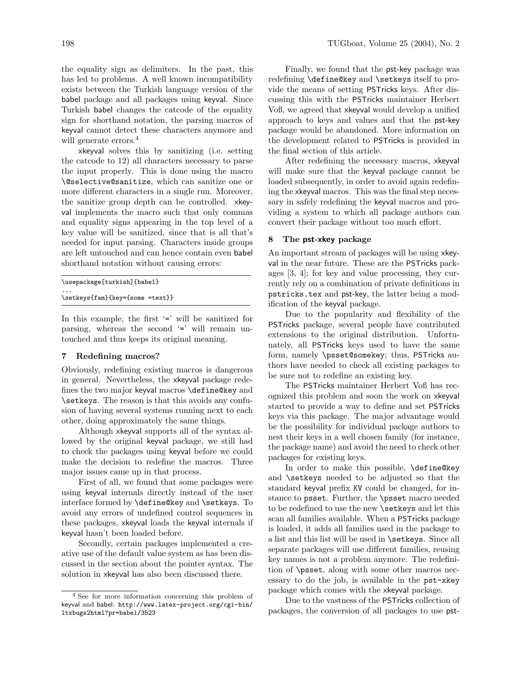the equality sign as delimiters. In the past, this has led to problems. A well known incompatibility exists between the Turkish language version of the babel package and all packages using keyval. Since Turkish babel changes the catcode of the equality sign for shorthand notation, the parsing macros of keyval cannot detect these characters anymore and will generate errors.<sup>4</sup>

xkeyval solves this by sanitizing (i.e. setting the catcode to 12) all characters necessary to parse the input properly. This is done using the macro \@selective@sanitize, which can sanitize one or more different characters in a single run. Moreover, the sanitize group depth can be controlled. xkeyval implements the macro such that only commas and equality signs appearing in the top level of a key value will be sanitized, since that is all that's needed for input parsing. Characters inside groups are left untouched and can hence contain even babel shorthand notation without causing errors:

```
\usepackage[turkish]{babel}
...
```

```
\setkeys{fam}{key={some =text}}
```
In this example, the first  $\epsilon$  is will be sanitized for parsing, whereas the second '=' will remain untouched and thus keeps its original meaning.

#### 7 Redefining macros?

Obviously, redefining existing macros is dangerous in general. Nevertheless, the xkeyval package redefines the two major keyval macros \define@key and \setkeys. The reason is that this avoids any confusion of having several systems running next to each other, doing approximately the same things.

Although xkeyval supports all of the syntax allowed by the original keyval package, we still had to check the packages using keyval before we could make the decision to redefine the macros. Three major issues came up in that process.

First of all, we found that some packages were using keyval internals directly instead of the user interface formed by **\define@key** and **\setkeys**. To avoid any errors of undefined control sequences in these packages, xkeyval loads the keyval internals if keyval hasn't been loaded before.

Secondly, certain packages implemented a creative use of the default value system as has been discussed in the section about the pointer syntax. The solution in xkeyval has also been discussed there.

Finally, we found that the pst-key package was redefining \define@key and \setkeys itself to provide the means of setting PSTricks keys. After discussing this with the PSTricks maintainer Herbert Voß, we agreed that xkeyval would develop a unified approach to keys and values and that the pst-key package would be abandoned. More information on the development related to PSTricks is provided in the final section of this article.

After redefining the necessary macros, xkeyval will make sure that the keyval package cannot be loaded subsequently, in order to avoid again redefining the xkeyval macros. This was the final step necessary in safely redefining the keyval macros and providing a system to which all package authors can convert their package without too much effort.

### 8 The pst-xkey package

An important stream of packages will be using xkeyval in the near future. These are the PSTricks packages [3, 4]; for key and value processing, they currently rely on a combination of private definitions in pstricks.tex and pst-key, the latter being a modification of the keyval package.

Due to the popularity and flexibility of the PSTricks package, several people have contributed extensions to the original distribution. Unfortunately, all PSTricks keys used to have the same form, namely \psset@somekey; thus, PSTricks authors have needed to check all existing packages to be sure not to redefine an existing key.

The PSTricks maintainer Herbert Voß has recognized this problem and soon the work on xkeyval started to provide a way to define and set PSTricks keys via this package. The major advantage would be the possibility for individual package authors to nest their keys in a well chosen family (for instance, the package name) and avoid the need to check other packages for existing keys.

In order to make this possible, \define@key and \setkeys needed to be adjusted so that the standard keyval prefix KV could be changed, for instance to psset. Further, the \psset macro needed to be redefined to use the new **\setkeys** and let this scan all families available. When a PSTricks package is loaded, it adds all families used in the package to a list and this list will be used in \setkeys. Since all separate packages will use different families, reusing key names is not a problem anymore. The redefinition of \psset, along with some other macros necessary to do the job, is available in the pst-xkey package which comes with the xkeyval package.

Due to the vastness of the PSTricks collection of packages, the conversion of all packages to use pst-

<sup>4</sup> See for more information concerning this problem of keyval and babel: http://www.latex-project.org/cgi-bin/ ltxbugs2html?pr=babel/3523